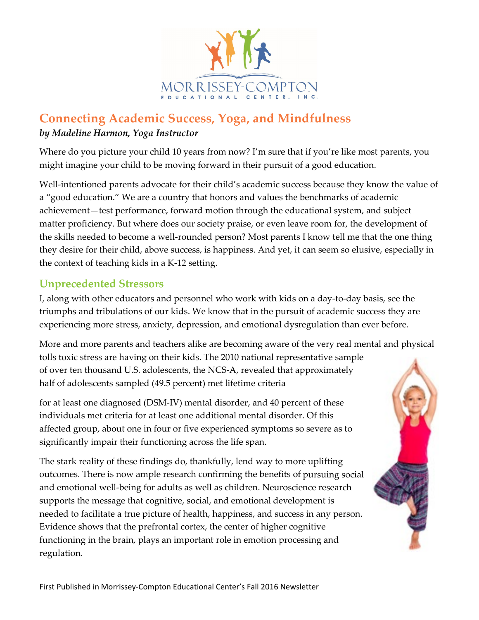

# **Connecting Academic Success, Yoga, and Mindfulness** *by Madeline Harmon, Yoga Instructor*

Where do you picture your child 10 years from now? I'm sure that if you're like most parents, you might imagine your child to be moving forward in their pursuit of a good education.

Well-intentioned parents advocate for their child's academic success because they know the value of a "good education." We are a country that honors and values the benchmarks of academic achievement—test performance, forward motion through the educational system, and subject matter proficiency. But where does our society praise, or even leave room for, the development of the skills needed to become a well-rounded person? Most parents I know tell me that the one thing they desire for their child, above success, is happiness. And yet, it can seem so elusive, especially in the context of teaching kids in a K-12 setting.

### **Unprecedented Stressors**

I, along with other educators and personnel who work with kids on a day-to-day basis, see the triumphs and tribulations of our kids. We know that in the pursuit of academic success they are experiencing more stress, anxiety, depression, and emotional dysregulation than ever before.

More and more parents and teachers alike are becoming aware of the very real mental and physical tolls toxic stress are having on their kids. The 2010 national representative sample of over ten thousand U.S. adolescents, the NCS-A, revealed that approximately half of adolescents sampled (49.5 percent) met lifetime criteria

for at least one diagnosed (DSM-IV) mental disorder, and 40 percent of these individuals met criteria for at least one additional mental disorder. Of this affected group, about one in four or five experienced symptoms so severe as to significantly impair their functioning across the life span.

The stark reality of these findings do, thankfully, lend way to more uplifting outcomes. There is now ample research confirming the benefits of pursuing social and emotional well-being for adults as well as children. Neuroscience research supports the message that cognitive, social, and emotional development is needed to facilitate a true picture of health, happiness, and success in any person. Evidence shows that the prefrontal cortex, the center of higher cognitive functioning in the brain, plays an important role in emotion processing and regulation.

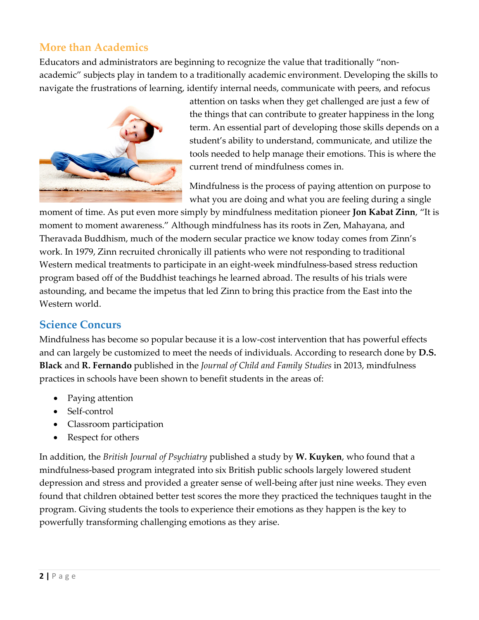## **More than Academics**

Educators and administrators are beginning to recognize the value that traditionally "nonacademic" subjects play in tandem to a traditionally academic environment. Developing the skills to navigate the frustrations of learning, identify internal needs, communicate with peers, and refocus



attention on tasks when they get challenged are just a few of the things that can contribute to greater happiness in the long term. An essential part of developing those skills depends on a student's ability to understand, communicate, and utilize the tools needed to help manage their emotions. This is where the current trend of mindfulness comes in.

Mindfulness is the process of paying attention on purpose to what you are doing and what you are feeling during a single

moment of time. As put even more simply by mindfulness meditation pioneer **Jon Kabat Zinn**, "It is moment to moment awareness." Although mindfulness has its roots in Zen, Mahayana, and Theravada Buddhism, much of the modern secular practice we know today comes from Zinn's work. In 1979, Zinn recruited chronically ill patients who were not responding to traditional Western medical treatments to participate in an eight-week mindfulness-based stress reduction program based off of the Buddhist teachings he learned abroad. The results of his trials were astounding, and became the impetus that led Zinn to bring this practice from the East into the Western world.

#### **Science Concurs**

Mindfulness has become so popular because it is a low-cost intervention that has powerful effects and can largely be customized to meet the needs of individuals. According to research done by **D.S. Black** and **R. Fernando** published in the *Journal of Child and Family Studies* in 2013, mindfulness practices in schools have been shown to benefit students in the areas of:

- Paying attention
- Self-control
- Classroom participation
- Respect for others

In addition, the *British Journal of Psychiatry* published a study by **W. Kuyken**, who found that a mindfulness-based program integrated into six British public schools largely lowered student depression and stress and provided a greater sense of well-being after just nine weeks. They even found that children obtained better test scores the more they practiced the techniques taught in the program. Giving students the tools to experience their emotions as they happen is the key to powerfully transforming challenging emotions as they arise.